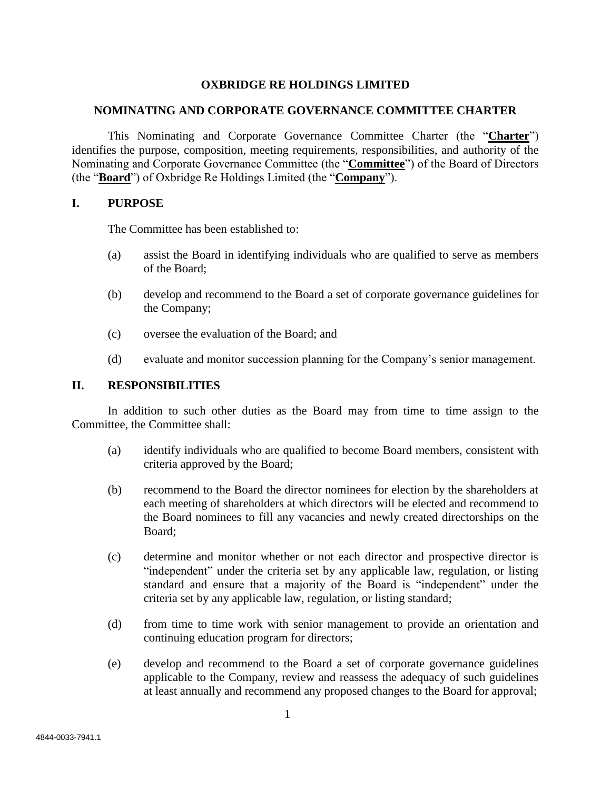# **OXBRIDGE RE HOLDINGS LIMITED**

## **NOMINATING AND CORPORATE GOVERNANCE COMMITTEE CHARTER**

This Nominating and Corporate Governance Committee Charter (the "**Charter**") identifies the purpose, composition, meeting requirements, responsibilities, and authority of the Nominating and Corporate Governance Committee (the "**Committee**") of the Board of Directors (the "**Board**") of Oxbridge Re Holdings Limited (the "**Company**").

## **I. PURPOSE**

The Committee has been established to:

- (a) assist the Board in identifying individuals who are qualified to serve as members of the Board;
- (b) develop and recommend to the Board a set of corporate governance guidelines for the Company;
- (c) oversee the evaluation of the Board; and
- (d) evaluate and monitor succession planning for the Company's senior management.

# **II. RESPONSIBILITIES**

In addition to such other duties as the Board may from time to time assign to the Committee, the Committee shall:

- (a) identify individuals who are qualified to become Board members, consistent with criteria approved by the Board;
- (b) recommend to the Board the director nominees for election by the shareholders at each meeting of shareholders at which directors will be elected and recommend to the Board nominees to fill any vacancies and newly created directorships on the Board;
- (c) determine and monitor whether or not each director and prospective director is "independent" under the criteria set by any applicable law, regulation, or listing standard and ensure that a majority of the Board is "independent" under the criteria set by any applicable law, regulation, or listing standard;
- (d) from time to time work with senior management to provide an orientation and continuing education program for directors;
- (e) develop and recommend to the Board a set of corporate governance guidelines applicable to the Company, review and reassess the adequacy of such guidelines at least annually and recommend any proposed changes to the Board for approval;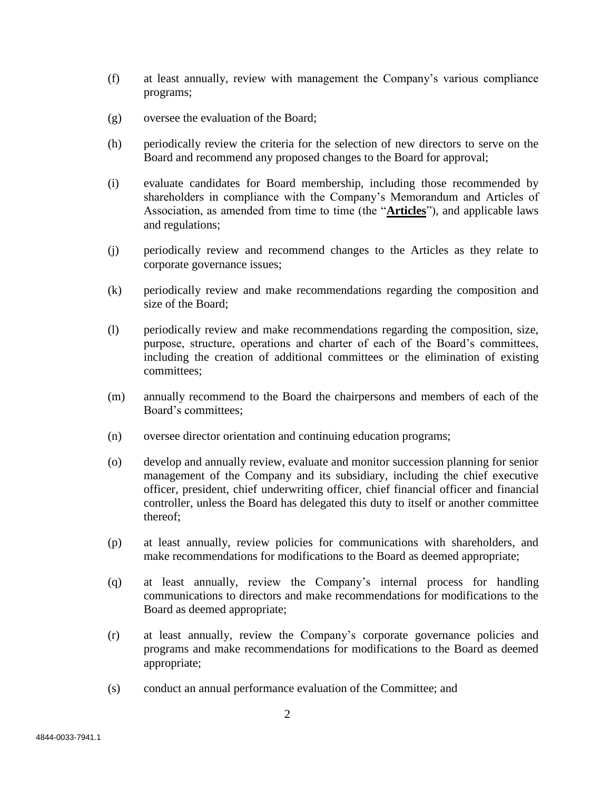- (f) at least annually, review with management the Company's various compliance programs;
- (g) oversee the evaluation of the Board;
- (h) periodically review the criteria for the selection of new directors to serve on the Board and recommend any proposed changes to the Board for approval;
- (i) evaluate candidates for Board membership, including those recommended by shareholders in compliance with the Company's Memorandum and Articles of Association, as amended from time to time (the "**Articles**"), and applicable laws and regulations;
- (j) periodically review and recommend changes to the Articles as they relate to corporate governance issues;
- (k) periodically review and make recommendations regarding the composition and size of the Board;
- (l) periodically review and make recommendations regarding the composition, size, purpose, structure, operations and charter of each of the Board's committees, including the creation of additional committees or the elimination of existing committees;
- (m) annually recommend to the Board the chairpersons and members of each of the Board's committees;
- (n) oversee director orientation and continuing education programs;
- (o) develop and annually review, evaluate and monitor succession planning for senior management of the Company and its subsidiary, including the chief executive officer, president, chief underwriting officer, chief financial officer and financial controller, unless the Board has delegated this duty to itself or another committee thereof;
- (p) at least annually, review policies for communications with shareholders, and make recommendations for modifications to the Board as deemed appropriate;
- (q) at least annually, review the Company's internal process for handling communications to directors and make recommendations for modifications to the Board as deemed appropriate;
- (r) at least annually, review the Company's corporate governance policies and programs and make recommendations for modifications to the Board as deemed appropriate;
- (s) conduct an annual performance evaluation of the Committee; and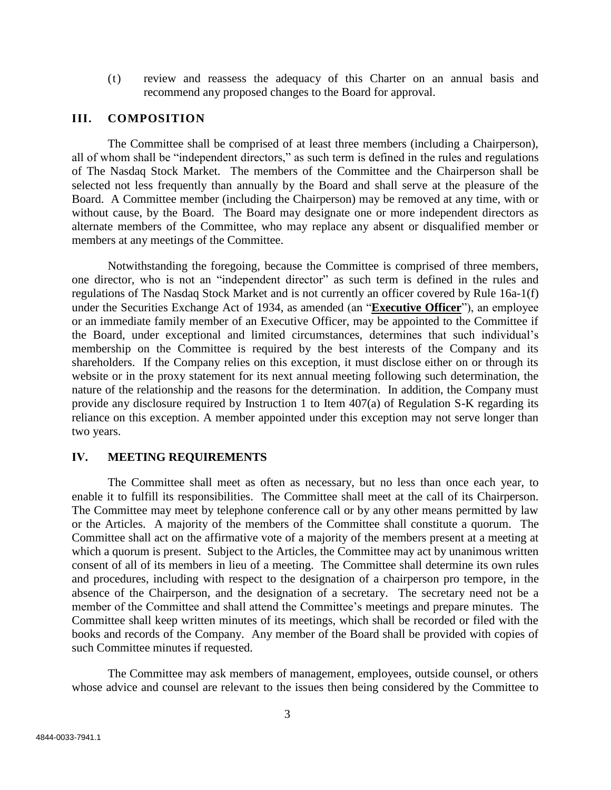(t) review and reassess the adequacy of this Charter on an annual basis and recommend any proposed changes to the Board for approval.

#### **III. COMPOSITION**

The Committee shall be comprised of at least three members (including a Chairperson), all of whom shall be "independent directors," as such term is defined in the rules and regulations of The Nasdaq Stock Market. The members of the Committee and the Chairperson shall be selected not less frequently than annually by the Board and shall serve at the pleasure of the Board. A Committee member (including the Chairperson) may be removed at any time, with or without cause, by the Board. The Board may designate one or more independent directors as alternate members of the Committee, who may replace any absent or disqualified member or members at any meetings of the Committee.

Notwithstanding the foregoing, because the Committee is comprised of three members, one director, who is not an "independent director" as such term is defined in the rules and regulations of The Nasdaq Stock Market and is not currently an officer covered by Rule 16a-1(f) under the Securities Exchange Act of 1934, as amended (an "**Executive Officer**"), an employee or an immediate family member of an Executive Officer, may be appointed to the Committee if the Board, under exceptional and limited circumstances, determines that such individual's membership on the Committee is required by the best interests of the Company and its shareholders. If the Company relies on this exception, it must disclose either on or through its website or in the proxy statement for its next annual meeting following such determination, the nature of the relationship and the reasons for the determination. In addition, the Company must provide any disclosure required by Instruction 1 to Item 407(a) of Regulation S-K regarding its reliance on this exception. A member appointed under this exception may not serve longer than two years.

#### **IV. MEETING REQUIREMENTS**

The Committee shall meet as often as necessary, but no less than once each year, to enable it to fulfill its responsibilities. The Committee shall meet at the call of its Chairperson. The Committee may meet by telephone conference call or by any other means permitted by law or the Articles. A majority of the members of the Committee shall constitute a quorum. The Committee shall act on the affirmative vote of a majority of the members present at a meeting at which a quorum is present. Subject to the Articles, the Committee may act by unanimous written consent of all of its members in lieu of a meeting. The Committee shall determine its own rules and procedures, including with respect to the designation of a chairperson pro tempore, in the absence of the Chairperson, and the designation of a secretary. The secretary need not be a member of the Committee and shall attend the Committee's meetings and prepare minutes. The Committee shall keep written minutes of its meetings, which shall be recorded or filed with the books and records of the Company. Any member of the Board shall be provided with copies of such Committee minutes if requested.

The Committee may ask members of management, employees, outside counsel, or others whose advice and counsel are relevant to the issues then being considered by the Committee to